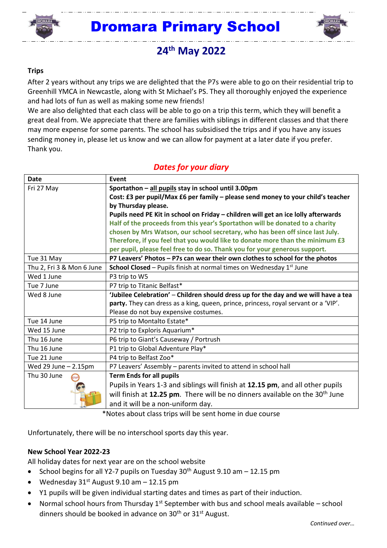

## $\overline{a}$ Dromara Primary School



# **24 th May 2022**

#### **Trips**

After 2 years without any trips we are delighted that the P7s were able to go on their residential trip to Greenhill YMCA in Newcastle, along with St Michael's PS. They all thoroughly enjoyed the experience and had lots of fun as well as making some new friends!

We are also delighted that each class will be able to go on a trip this term, which they will benefit a great deal from. We appreciate that there are families with siblings in different classes and that there may more expense for some parents. The school has subsidised the trips and if you have any issues sending money in, please let us know and we can allow for payment at a later date if you prefer. Thank you.

### *Dates for your diary*

| <b>Date</b>                | Event                                                                                    |
|----------------------------|------------------------------------------------------------------------------------------|
| Fri 27 May                 | Sportathon - all pupils stay in school until 3.00pm                                      |
|                            | Cost: £3 per pupil/Max £6 per family - please send money to your child's teacher         |
|                            | by Thursday please.                                                                      |
|                            | Pupils need PE Kit in school on Friday - children will get an ice lolly afterwards       |
|                            | Half of the proceeds from this year's Sportathon will be donated to a charity            |
|                            | chosen by Mrs Watson, our school secretary, who has been off since last July.            |
|                            | Therefore, if you feel that you would like to donate more than the minimum £3            |
|                            | per pupil, please feel free to do so. Thank you for your generous support.               |
| Tue 31 May                 | P7 Leavers' Photos - P7s can wear their own clothes to school for the photos             |
| Thu 2, Fri 3 & Mon 6 June  | School Closed - Pupils finish at normal times on Wednesday 1st June                      |
| Wed 1 June                 | P3 trip to W5                                                                            |
| Tue 7 June                 | P7 trip to Titanic Belfast*                                                              |
| Wed 8 June                 | 'Jubilee Celebration' - Children should dress up for the day and we will have a tea      |
|                            | party. They can dress as a king, queen, prince, princess, royal servant or a 'VIP'.      |
|                            | Please do not buy expensive costumes.                                                    |
| Tue 14 June                | P5 trip to Montalto Estate*                                                              |
| Wed 15 June                | P2 trip to Exploris Aquarium*                                                            |
| Thu 16 June                | P6 trip to Giant's Causeway / Portrush                                                   |
| Thu 16 June                | P1 trip to Global Adventure Play*                                                        |
| Tue 21 June                | P4 trip to Belfast Zoo*                                                                  |
| Wed 29 June $-2.15$ pm     | P7 Leavers' Assembly - parents invited to attend in school hall                          |
| Thu 30 June<br><b>STOP</b> | <b>Term Ends for all pupils</b>                                                          |
|                            | Pupils in Years 1-3 and siblings will finish at 12.15 pm, and all other pupils           |
|                            | will finish at 12.25 pm. There will be no dinners available on the 30 <sup>th</sup> June |
|                            | and it will be a non-uniform day.                                                        |

\*Notes about class trips will be sent home in due course

Unfortunately, there will be no interschool sports day this year.

#### **New School Year 2022-23**

All holiday dates for next year are on the school website

- School begins for all Y2-7 pupils on Tuesday  $30<sup>th</sup>$  August 9.10 am  $-12.15$  pm
- Wednesday  $31<sup>st</sup>$  August 9.10 am  $-12.15$  pm
- Y1 pupils will be given individual starting dates and times as part of their induction.
- Normal school hours from Thursday  $1^{st}$  September with bus and school meals available school dinners should be booked in advance on  $30<sup>th</sup>$  or  $31<sup>st</sup>$  August.